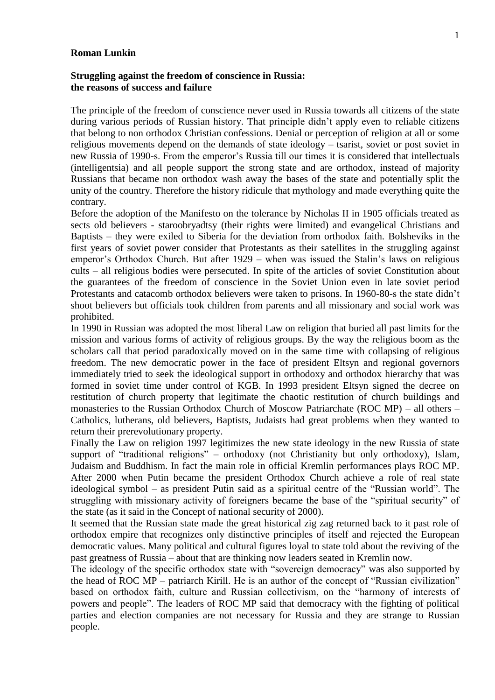## **Roman Lunkin**

## **Struggling against the freedom of conscience in Russia: the reasons of success and failure**

The principle of the freedom of conscience never used in Russia towards all citizens of the state during various periods of Russian history. That principle didn't apply even to reliable citizens that belong to non orthodox Christian confessions. Denial or perception of religion at all or some religious movements depend on the demands of state ideology – tsarist, soviet or post soviet in new Russia of 1990-s. From the emperor's Russia till our times it is considered that intellectuals (intelligentsia) and all people support the strong state and are orthodox, instead of majority Russians that became non orthodox wash away the bases of the state and potentially split the unity of the country. Therefore the history ridicule that mythology and made everything quite the contrary.

Before the adoption of the Manifesto on the tolerance by Nicholas II in 1905 officials treated as sects old believers - staroobryadtsy (their rights were limited) and evangelical Christians and Baptists – they were exiled to Siberia for the deviation from orthodox faith. Bolsheviks in the first years of soviet power consider that Protestants as their satellites in the struggling against emperor's Orthodox Church. But after 1929 – when was issued the Stalin's laws on religious cults – all religious bodies were persecuted. In spite of the articles of soviet Constitution about the guarantees of the freedom of conscience in the Soviet Union even in late soviet period Protestants and catacomb orthodox believers were taken to prisons. In 1960-80-s the state didn't shoot believers but officials took children from parents and all missionary and social work was prohibited.

In 1990 in Russian was adopted the most liberal Law on religion that buried all past limits for the mission and various forms of activity of religious groups. By the way the religious boom as the scholars call that period paradoxically moved on in the same time with collapsing of religious freedom. The new democratic power in the face of president Eltsyn and regional governors immediately tried to seek the ideological support in orthodoxy and orthodox hierarchy that was formed in soviet time under control of KGB. In 1993 president Eltsyn signed the decree on restitution of church property that legitimate the chaotic restitution of church buildings and monasteries to the Russian Orthodox Church of Moscow Patriarchate (ROC MP) – all others – Catholics, lutherans, old believers, Baptists, Judaists had great problems when they wanted to return their prerevolutionary property.

Finally the Law on religion 1997 legitimizes the new state ideology in the new Russia of state support of "traditional religions" – orthodoxy (not Christianity but only orthodoxy), Islam, Judaism and Buddhism. In fact the main role in official Kremlin performances plays ROC MP. After 2000 when Putin became the president Orthodox Church achieve a role of real state ideological symbol – as president Putin said as a spiritual centre of the "Russian world". The struggling with missionary activity of foreigners became the base of the "spiritual security" of the state (as it said in the Concept of national security of 2000).

It seemed that the Russian state made the great historical zig zag returned back to it past role of orthodox empire that recognizes only distinctive principles of itself and rejected the European democratic values. Many political and cultural figures loyal to state told about the reviving of the past greatness of Russia – about that are thinking now leaders seated in Kremlin now.

The ideology of the specific orthodox state with "sovereign democracy" was also supported by the head of ROC MP – patriarch Kirill. He is an author of the concept of "Russian civilization" based on orthodox faith, culture and Russian collectivism, on the "harmony of interests of powers and people". The leaders of ROC MP said that democracy with the fighting of political parties and election companies are not necessary for Russia and they are strange to Russian people.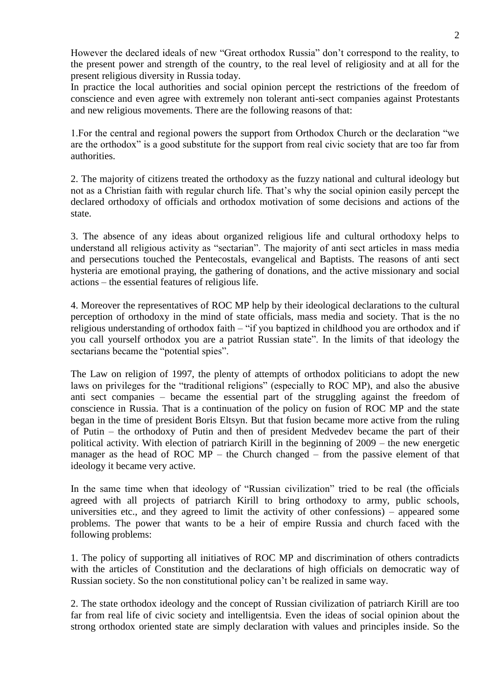However the declared ideals of new "Great orthodox Russia" don't correspond to the reality, to the present power and strength of the country, to the real level of religiosity and at all for the present religious diversity in Russia today.

In practice the local authorities and social opinion percept the restrictions of the freedom of conscience and even agree with extremely non tolerant anti-sect companies against Protestants and new religious movements. There are the following reasons of that:

1.For the central and regional powers the support from Orthodox Church or the declaration "we are the orthodox" is a good substitute for the support from real civic society that are too far from authorities.

2. The majority of citizens treated the orthodoxy as the fuzzy national and cultural ideology but not as a Christian faith with regular church life. That's why the social opinion easily percept the declared orthodoxy of officials and orthodox motivation of some decisions and actions of the state.

3. The absence of any ideas about organized religious life and cultural orthodoxy helps to understand all religious activity as "sectarian". The majority of anti sect articles in mass media and persecutions touched the Pentecostals, evangelical and Baptists. The reasons of anti sect hysteria are emotional praying, the gathering of donations, and the active missionary and social actions – the essential features of religious life.

4. Moreover the representatives of ROC MP help by their ideological declarations to the cultural perception of orthodoxy in the mind of state officials, mass media and society. That is the no religious understanding of orthodox faith – "if you baptized in childhood you are orthodox and if you call yourself orthodox you are a patriot Russian state". In the limits of that ideology the sectarians became the "potential spies".

The Law on religion of 1997, the plenty of attempts of orthodox politicians to adopt the new laws on privileges for the "traditional religions" (especially to ROC MP), and also the abusive anti sect companies – became the essential part of the struggling against the freedom of conscience in Russia. That is a continuation of the policy on fusion of ROC MP and the state began in the time of president Boris Eltsyn. But that fusion became more active from the ruling of Putin – the orthodoxy of Putin and then of president Medvedev became the part of their political activity. With election of patriarch Kirill in the beginning of 2009 – the new energetic manager as the head of ROC MP – the Church changed – from the passive element of that ideology it became very active.

In the same time when that ideology of "Russian civilization" tried to be real (the officials agreed with all projects of patriarch Kirill to bring orthodoxy to army, public schools, universities etc., and they agreed to limit the activity of other confessions) – appeared some problems. The power that wants to be a heir of empire Russia and church faced with the following problems:

1. The policy of supporting all initiatives of ROC MP and discrimination of others contradicts with the articles of Constitution and the declarations of high officials on democratic way of Russian society. So the non constitutional policy can't be realized in same way.

2. The state orthodox ideology and the concept of Russian civilization of patriarch Kirill are too far from real life of civic society and intelligentsia. Even the ideas of social opinion about the strong orthodox oriented state are simply declaration with values and principles inside. So the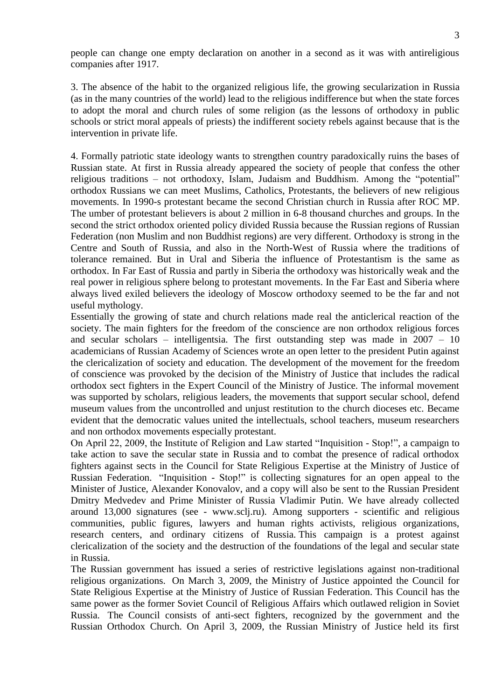people can change one empty declaration on another in a second as it was with antireligious companies after 1917.

3. The absence of the habit to the organized religious life, the growing secularization in Russia (as in the many countries of the world) lead to the religious indifference but when the state forces to adopt the moral and church rules of some religion (as the lessons of orthodoxy in public schools or strict moral appeals of priests) the indifferent society rebels against because that is the intervention in private life.

4. Formally patriotic state ideology wants to strengthen country paradoxically ruins the bases of Russian state. At first in Russia already appeared the society of people that confess the other religious traditions – not orthodoxy, Islam, Judaism and Buddhism. Among the "potential" orthodox Russians we can meet Muslims, Catholics, Protestants, the believers of new religious movements. In 1990-s protestant became the second Christian church in Russia after ROC MP. The umber of protestant believers is about 2 million in 6-8 thousand churches and groups. In the second the strict orthodox oriented policy divided Russia because the Russian regions of Russian Federation (non Muslim and non Buddhist regions) are very different. Orthodoxy is strong in the Centre and South of Russia, and also in the North-West of Russia where the traditions of tolerance remained. But in Ural and Siberia the influence of Protestantism is the same as orthodox. In Far East of Russia and partly in Siberia the orthodoxy was historically weak and the real power in religious sphere belong to protestant movements. In the Far East and Siberia where always lived exiled believers the ideology of Moscow orthodoxy seemed to be the far and not useful mythology.

Essentially the growing of state and church relations made real the anticlerical reaction of the society. The main fighters for the freedom of the conscience are non orthodox religious forces and secular scholars – intelligentsia. The first outstanding step was made in 2007 – 10 academicians of Russian Academy of Sciences wrote an open letter to the president Putin against the clericalization of society and education. The development of the movement for the freedom of conscience was provoked by the decision of the Ministry of Justice that includes the radical orthodox sect fighters in the Expert Council of the Ministry of Justice. The informal movement was supported by scholars, religious leaders, the movements that support secular school, defend museum values from the uncontrolled and unjust restitution to the church dioceses etc. Became evident that the democratic values united the intellectuals, school teachers, museum researchers and non orthodox movements especially protestant.

On April 22, 2009, the Institute of Religion and Law started "Inquisition - Stop!", a campaign to take action to save the secular state in Russia and to combat the presence of radical orthodox fighters against sects in the Council for State Religious Expertise at the Ministry of Justice of Russian Federation. "Inquisition - Stop!" is collecting signatures for an open appeal to the Minister of Justice, Alexander Konovalov, and a copy will also be sent to the Russian President Dmitry Medvedev and Prime Minister of Russia Vladimir Putin. We have already collected around 13,000 signatures (see - www.sclj.ru). Among supporters - scientific and religious communities, public figures, lawyers and human rights activists, religious organizations, research centers, and ordinary citizens of Russia. This campaign is a protest against clericalization of the society and the destruction of the foundations of the legal and secular state in Russia.

The Russian government has issued a series of restrictive legislations against non-traditional religious organizations. On March 3, 2009, the Ministry of Justice appointed the Council for State Religious Expertise at the Ministry of Justice of Russian Federation. This Council has the same power as the former Soviet Council of Religious Affairs which outlawed religion in Soviet Russia. The Council consists of anti-sect fighters, recognized by the government and the Russian Orthodox Church. On April 3, 2009, the Russian Ministry of Justice held its first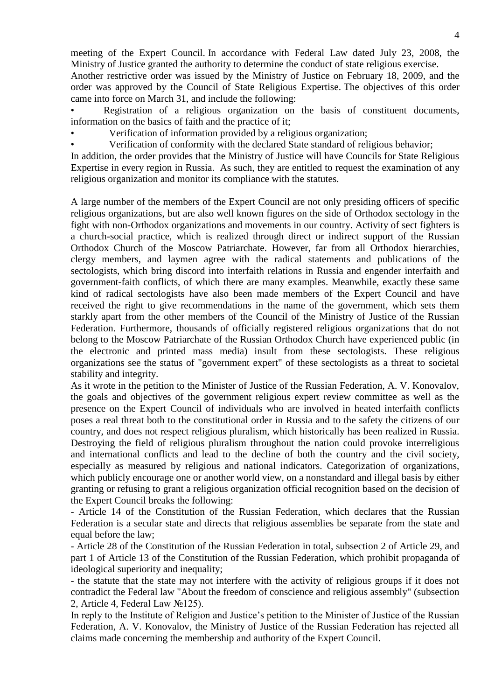meeting of the Expert Council. In accordance with Federal Law dated July 23, 2008, the Ministry of Justice granted the authority to determine the conduct of state religious exercise. Another restrictive order was issued by the Ministry of Justice on February 18, 2009, and the order was approved by the Council of State Religious Expertise. The objectives of this order came into force on March 31, and include the following:

• Registration of a religious organization on the basis of constituent documents, information on the basics of faith and the practice of it;

• Verification of information provided by a religious organization;

• Verification of conformity with the declared State standard of religious behavior;

In addition, the order provides that the Ministry of Justice will have Councils for State Religious Expertise in every region in Russia. As such, they are entitled to request the examination of any religious organization and monitor its compliance with the statutes.

A large number of the members of the Expert Council are not only presiding officers of specific religious organizations, but are also well known figures on the side of Orthodox sectology in the fight with non-Orthodox organizations and movements in our country. Activity of sect fighters is a church-social practice, which is realized through direct or indirect support of the Russian Orthodox Church of the Moscow Patriarchate. However, far from all Orthodox hierarchies, clergy members, and laymen agree with the radical statements and publications of the sectologists, which bring discord into interfaith relations in Russia and engender interfaith and government-faith conflicts, of which there are many examples. Meanwhile, exactly these same kind of radical sectologists have also been made members of the Expert Council and have received the right to give recommendations in the name of the government, which sets them starkly apart from the other members of the Council of the Ministry of Justice of the Russian Federation. Furthermore, thousands of officially registered religious organizations that do not belong to the Moscow Patriarchate of the Russian Orthodox Church have experienced public (in the electronic and printed mass media) insult from these sectologists. These religious organizations see the status of "government expert" of these sectologists as a threat to societal stability and integrity.

As it wrote in the petition to the Minister of Justice of the Russian Federation, A. V. Konovalov, the goals and objectives of the government religious expert review committee as well as the presence on the Expert Council of individuals who are involved in heated interfaith conflicts poses a real threat both to the constitutional order in Russia and to the safety the citizens of our country, and does not respect religious pluralism, which historically has been realized in Russia. Destroying the field of religious pluralism throughout the nation could provoke interreligious and international conflicts and lead to the decline of both the country and the civil society, especially as measured by religious and national indicators. Categorization of organizations, which publicly encourage one or another world view, on a nonstandard and illegal basis by either granting or refusing to grant a religious organization official recognition based on the decision of the Expert Council breaks the following:

- Article 14 of the Constitution of the Russian Federation, which declares that the Russian Federation is a secular state and directs that religious assemblies be separate from the state and equal before the law;

- Article 28 of the Constitution of the Russian Federation in total, subsection 2 of Article 29, and part 1 of Article 13 of the Constitution of the Russian Federation, which prohibit propaganda of ideological superiority and inequality;

- the statute that the state may not interfere with the activity of religious groups if it does not contradict the Federal law "About the freedom of conscience and religious assembly" (subsection 2, Article 4, Federal Law №125).

In reply to the Institute of Religion and Justice's petition to the Minister of Justice of the Russian Federation, A. V. Konovalov, the Ministry of Justice of the Russian Federation has rejected all claims made concerning the membership and authority of the Expert Council.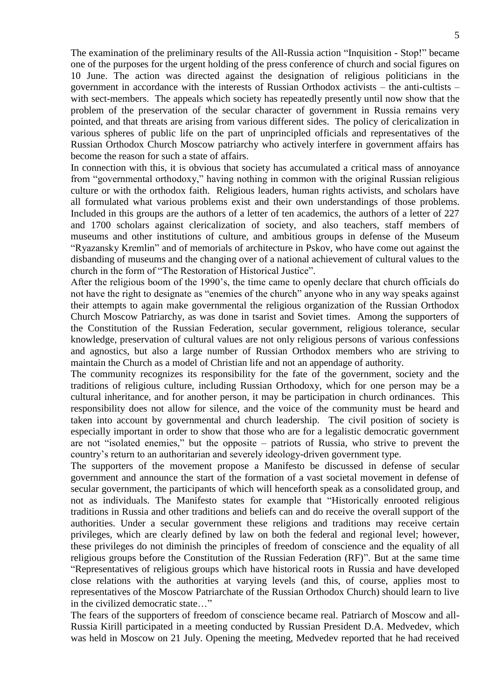The examination of the preliminary results of the All-Russia action "Inquisition - Stop!" became one of the purposes for the urgent holding of the press conference of church and social figures on 10 June. The action was directed against the designation of religious politicians in the government in accordance with the interests of Russian Orthodox activists – the anti-cultists – with sect-members. The appeals which society has repeatedly presently until now show that the problem of the preservation of the secular character of government in Russia remains very pointed, and that threats are arising from various different sides. The policy of clericalization in various spheres of public life on the part of unprincipled officials and representatives of the Russian Orthodox Church Moscow patriarchy who actively interfere in government affairs has become the reason for such a state of affairs.

In connection with this, it is obvious that society has accumulated a critical mass of annoyance from "governmental orthodoxy," having nothing in common with the original Russian religious culture or with the orthodox faith. Religious leaders, human rights activists, and scholars have all formulated what various problems exist and their own understandings of those problems. Included in this groups are the authors of a letter of ten academics, the authors of a letter of 227 and 1700 scholars against clericalization of society, and also teachers, staff members of museums and other institutions of culture, and ambitious groups in defense of the Museum "Ryazansky Kremlin" and of memorials of architecture in Pskov, who have come out against the disbanding of museums and the changing over of a national achievement of cultural values to the church in the form of "The Restoration of Historical Justice".

After the religious boom of the 1990's, the time came to openly declare that church officials do not have the right to designate as "enemies of the church" anyone who in any way speaks against their attempts to again make governmental the religious organization of the Russian Orthodox Church Moscow Patriarchy, as was done in tsarist and Soviet times. Among the supporters of the Constitution of the Russian Federation, secular government, religious tolerance, secular knowledge, preservation of cultural values are not only religious persons of various confessions and agnostics, but also a large number of Russian Orthodox members who are striving to maintain the Church as a model of Christian life and not an appendage of authority.

The community recognizes its responsibility for the fate of the government, society and the traditions of religious culture, including Russian Orthodoxy, which for one person may be a cultural inheritance, and for another person, it may be participation in church ordinances. This responsibility does not allow for silence, and the voice of the community must be heard and taken into account by governmental and church leadership. The civil position of society is especially important in order to show that those who are for a legalistic democratic government are not "isolated enemies," but the opposite – patriots of Russia, who strive to prevent the country's return to an authoritarian and severely ideology-driven government type.

The supporters of the movement propose a Manifesto be discussed in defense of secular government and announce the start of the formation of a vast societal movement in defense of secular government, the participants of which will henceforth speak as a consolidated group, and not as individuals. The Manifesto states for example that "Historically enrooted religious traditions in Russia and other traditions and beliefs can and do receive the overall support of the authorities. Under a secular government these religions and traditions may receive certain privileges, which are clearly defined by law on both the federal and regional level; however, these privileges do not diminish the principles of freedom of conscience and the equality of all religious groups before the Constitution of the Russian Federation (RF)". But at the same time "Representatives of religious groups which have historical roots in Russia and have developed close relations with the authorities at varying levels (and this, of course, applies most to representatives of the Moscow Patriarchate of the Russian Orthodox Church) should learn to live in the civilized democratic state…"

The fears of the supporters of freedom of conscience became real. Patriarch of Moscow and all-Russia Kirill participated in a meeting conducted by Russian President D.A. Medvedev, which was held in Moscow on 21 July. Opening the meeting, Medvedev reported that he had received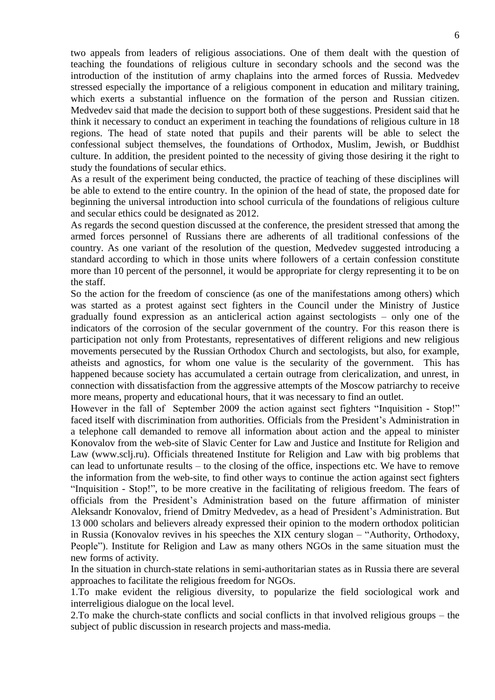two appeals from leaders of religious associations. One of them dealt with the question of teaching the foundations of religious culture in secondary schools and the second was the introduction of the institution of army chaplains into the armed forces of Russia. Medvedev stressed especially the importance of a religious component in education and military training, which exerts a substantial influence on the formation of the person and Russian citizen. Medvedev said that made the decision to support both of these suggestions. President said that he think it necessary to conduct an experiment in teaching the foundations of religious culture in 18 regions. The head of state noted that pupils and their parents will be able to select the confessional subject themselves, the foundations of Orthodox, Muslim, Jewish, or Buddhist culture. In addition, the president pointed to the necessity of giving those desiring it the right to study the foundations of secular ethics.

As a result of the experiment being conducted, the practice of teaching of these disciplines will be able to extend to the entire country. In the opinion of the head of state, the proposed date for beginning the universal introduction into school curricula of the foundations of religious culture and secular ethics could be designated as 2012.

As regards the second question discussed at the conference, the president stressed that among the armed forces personnel of Russians there are adherents of all traditional confessions of the country. As one variant of the resolution of the question, Medvedev suggested introducing a standard according to which in those units where followers of a certain confession constitute more than 10 percent of the personnel, it would be appropriate for clergy representing it to be on the staff.

So the action for the freedom of conscience (as one of the manifestations among others) which was started as a protest against sect fighters in the Council under the Ministry of Justice gradually found expression as an anticlerical action against sectologists – only one of the indicators of the corrosion of the secular government of the country. For this reason there is participation not only from Protestants, representatives of different religions and new religious movements persecuted by the Russian Orthodox Church and sectologists, but also, for example, atheists and agnostics, for whom one value is the secularity of the government. This has happened because society has accumulated a certain outrage from clericalization, and unrest, in connection with dissatisfaction from the aggressive attempts of the Moscow patriarchy to receive more means, property and educational hours, that it was necessary to find an outlet.

However in the fall of September 2009 the action against sect fighters "Inquisition - Stop!" faced itself with discrimination from authorities. Officials from the President's Administration in a telephone call demanded to remove all information about action and the appeal to minister Konovalov from the web-site of Slavic Center for Law and Justice and Institute for Religion and Law (www.sclj.ru). Officials threatened Institute for Religion and Law with big problems that can lead to unfortunate results – to the closing of the office, inspections etc. We have to remove the information from the web-site, to find other ways to continue the action against sect fighters "Inquisition - Stop!", to be more creative in the facilitating of religious freedom. The fears of officials from the President's Administration based on the future affirmation of minister Aleksandr Konovalov, friend of Dmitry Medvedev, as a head of President's Administration. But 13 000 scholars and believers already expressed their opinion to the modern orthodox politician in Russia (Konovalov revives in his speeches the XIX century slogan – "Authority, Orthodoxy, People"). Institute for Religion and Law as many others NGOs in the same situation must the new forms of activity.

In the situation in church-state relations in semi-authoritarian states as in Russia there are several approaches to facilitate the religious freedom for NGOs.

1.To make evident the religious diversity, to popularize the field sociological work and interreligious dialogue on the local level.

2.To make the church-state conflicts and social conflicts in that involved religious groups – the subject of public discussion in research projects and mass-media.